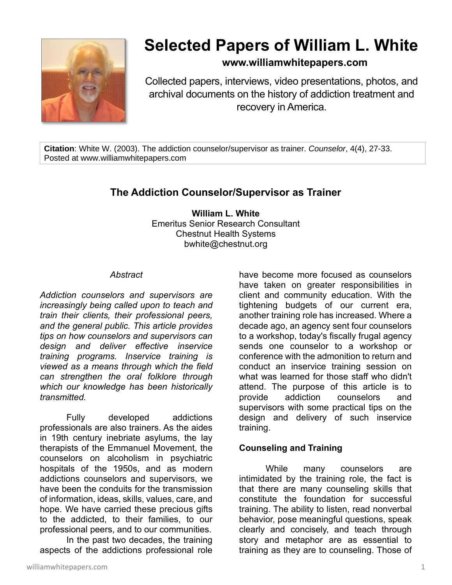

# **Selected Papers of William L. White**

# **www.williamwhitepapers.com**

Collected papers, interviews, video presentations, photos, and archival documents on the history of addiction treatment and recovery in America.

**Citation**: White W. (2003). The addiction counselor/supervisor as trainer. *Counselor*, 4(4), 27-33. Posted at www.williamwhitepapers.com

# **The Addiction Counselor/Supervisor as Trainer**

**William L. White** Emeritus Senior Research Consultant Chestnut Health Systems bwhite@chestnut.org

#### *Abstract*

*Addiction counselors and supervisors are increasingly being called upon to teach and train their clients, their professional peers, and the general public. This article provides tips on how counselors and supervisors can design and deliver effective inservice training programs. Inservice training is viewed as a means through which the field can strengthen the oral folklore through which our knowledge has been historically transmitted.*

Fully developed addictions professionals are also trainers. As the aides in 19th century inebriate asylums, the lay therapists of the Emmanuel Movement, the counselors on alcoholism in psychiatric hospitals of the 1950s, and as modern addictions counselors and supervisors, we have been the conduits for the transmission of information, ideas, skills, values, care, and hope. We have carried these precious gifts to the addicted, to their families, to our professional peers, and to our communities.

In the past two decades, the training aspects of the addictions professional role have become more focused as counselors have taken on greater responsibilities in client and community education. With the tightening budgets of our current era, another training role has increased. Where a decade ago, an agency sent four counselors to a workshop, today's fiscally frugal agency sends one counselor to a workshop or conference with the admonition to return and conduct an inservice training session on what was learned for those staff who didn't attend. The purpose of this article is to provide addiction counselors and supervisors with some practical tips on the design and delivery of such inservice training.

# **Counseling and Training**

While many counselors are intimidated by the training role, the fact is that there are many counseling skills that constitute the foundation for successful training. The ability to listen, read nonverbal behavior, pose meaningful questions, speak clearly and concisely, and teach through story and metaphor are as essential to training as they are to counseling. Those of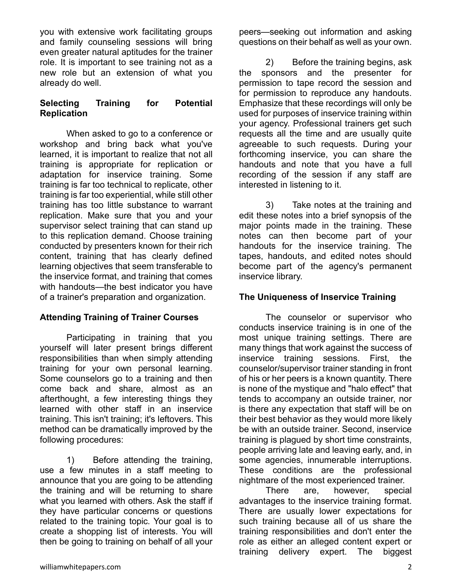you with extensive work facilitating groups and family counseling sessions will bring even greater natural aptitudes for the trainer role. It is important to see training not as a new role but an extension of what you already do well.

#### **Selecting Training for Potential Replication**

When asked to go to a conference or workshop and bring back what you've learned, it is important to realize that not all training is appropriate for replication or adaptation for inservice training. Some training is far too technical to replicate, other training is far too experiential, while still other training has too little substance to warrant replication. Make sure that you and your supervisor select training that can stand up to this replication demand. Choose training conducted by presenters known for their rich content, training that has clearly defined learning objectives that seem transferable to the inservice format, and training that comes with handouts—the best indicator you have of a trainer's preparation and organization.

# **Attending Training of Trainer Courses**

Participating in training that you yourself will later present brings different responsibilities than when simply attending training for your own personal learning. Some counselors go to a training and then come back and share, almost as an afterthought, a few interesting things they learned with other staff in an inservice training. This isn't training; it's leftovers. This method can be dramatically improved by the following procedures:

1) Before attending the training, use a few minutes in a staff meeting to announce that you are going to be attending the training and will be returning to share what you learned with others. Ask the staff if they have particular concerns or questions related to the training topic. Your goal is to create a shopping list of interests. You will then be going to training on behalf of all your

peers—seeking out information and asking questions on their behalf as well as your own.

2) Before the training begins, ask the sponsors and the presenter for permission to tape record the session and for permission to reproduce any handouts. Emphasize that these recordings will only be used for purposes of inservice training within your agency. Professional trainers get such requests all the time and are usually quite agreeable to such requests. During your forthcoming inservice, you can share the handouts and note that you have a full recording of the session if any staff are interested in listening to it.

3) Take notes at the training and edit these notes into a brief synopsis of the major points made in the training. These notes can then become part of your handouts for the inservice training. The tapes, handouts, and edited notes should become part of the agency's permanent inservice library.

#### **The Uniqueness of Inservice Training**

The counselor or supervisor who conducts inservice training is in one of the most unique training settings. There are many things that work against the success of inservice training sessions. First, the counselor/supervisor trainer standing in front of his or her peers is a known quantity. There is none of the mystique and "halo effect" that tends to accompany an outside trainer, nor is there any expectation that staff will be on their best behavior as they would more likely be with an outside trainer. Second, inservice training is plagued by short time constraints, people arriving late and leaving early, and, in some agencies, innumerable interruptions. These conditions are the professional nightmare of the most experienced trainer.

There are, however, special advantages to the inservice training format. There are usually lower expectations for such training because all of us share the training responsibilities and don't enter the role as either an alleged content expert or training delivery expert. The biggest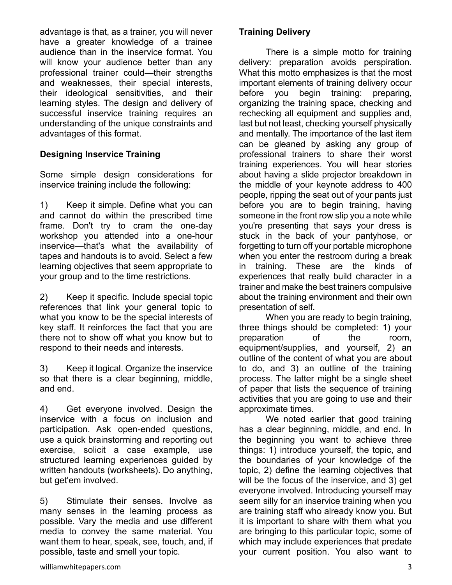advantage is that, as a trainer, you will never have a greater knowledge of a trainee audience than in the inservice format. You will know your audience better than any professional trainer could—their strengths and weaknesses, their special interests, their ideological sensitivities, and their learning styles. The design and delivery of successful inservice training requires an understanding of the unique constraints and advantages of this format.

# **Designing Inservice Training**

Some simple design considerations for inservice training include the following:

1) Keep it simple. Define what you can and cannot do within the prescribed time frame. Don't try to cram the one-day workshop you attended into a one-hour inservice—that's what the availability of tapes and handouts is to avoid. Select a few learning objectives that seem appropriate to your group and to the time restrictions.

2) Keep it specific. Include special topic references that link your general topic to what you know to be the special interests of key staff. It reinforces the fact that you are there not to show off what you know but to respond to their needs and interests.

3) Keep it logical. Organize the inservice so that there is a clear beginning, middle, and end.

4) Get everyone involved. Design the inservice with a focus on inclusion and participation. Ask open-ended questions, use a quick brainstorming and reporting out exercise, solicit a case example, use structured learning experiences guided by written handouts (worksheets). Do anything, but get'em involved.

5) Stimulate their senses. Involve as many senses in the learning process as possible. Vary the media and use different media to convey the same material. You want them to hear, speak, see, touch, and, if possible, taste and smell your topic.

# **Training Delivery**

There is a simple motto for training delivery: preparation avoids perspiration. What this motto emphasizes is that the most important elements of training delivery occur before you begin training: preparing, organizing the training space, checking and rechecking all equipment and supplies and, last but not least, checking yourself physically and mentally. The importance of the last item can be gleaned by asking any group of professional trainers to share their worst training experiences. You will hear stories about having a slide projector breakdown in the middle of your keynote address to 400 people, ripping the seat out of your pants just before you are to begin training, having someone in the front row slip you a note while you're presenting that says your dress is stuck in the back of your pantyhose, or forgetting to turn off your portable microphone when you enter the restroom during a break in training. These are the kinds of experiences that really build character in a trainer and make the best trainers compulsive about the training environment and their own presentation of self.

When you are ready to begin training, three things should be completed: 1) your preparation of the room, equipment/supplies, and yourself, 2) an outline of the content of what you are about to do, and 3) an outline of the training process. The latter might be a single sheet of paper that lists the sequence of training activities that you are going to use and their approximate times.

We noted earlier that good training has a clear beginning, middle, and end. In the beginning you want to achieve three things: 1) introduce yourself, the topic, and the boundaries of your knowledge of the topic, 2) define the learning objectives that will be the focus of the inservice, and 3) get everyone involved. Introducing yourself may seem silly for an inservice training when you are training staff who already know you. But it is important to share with them what you are bringing to this particular topic, some of which may include experiences that predate your current position. You also want to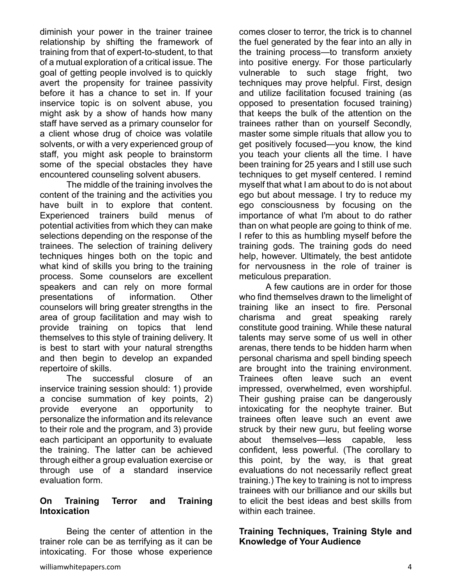diminish your power in the trainer trainee relationship by shifting the framework of training from that of expert-to-student, to that of a mutual exploration of a critical issue. The goal of getting people involved is to quickly avert the propensity for trainee passivity before it has a chance to set in. If your inservice topic is on solvent abuse, you might ask by a show of hands how many staff have served as a primary counselor for a client whose drug of choice was volatile solvents, or with a very experienced group of staff, you might ask people to brainstorm some of the special obstacles they have encountered counseling solvent abusers.

The middle of the training involves the content of the training and the activities you have built in to explore that content. Experienced trainers build menus of potential activities from which they can make selections depending on the response of the trainees. The selection of training delivery techniques hinges both on the topic and what kind of skills you bring to the training process. Some counselors are excellent speakers and can rely on more formal presentations of information. Other counselors will bring greater strengths in the area of group facilitation and may wish to provide training on topics that lend themselves to this style of training delivery. It is best to start with your natural strengths and then begin to develop an expanded repertoire of skills.

The successful closure of an inservice training session should: 1) provide a concise summation of key points, 2) provide everyone an opportunity to personalize the information and its relevance to their role and the program, and 3) provide each participant an opportunity to evaluate the training. The latter can be achieved through either a group evaluation exercise or through use of a standard inservice evaluation form.

#### **On Training Terror and Training Intoxication**

Being the center of attention in the trainer role can be as terrifying as it can be intoxicating. For those whose experience

comes closer to terror, the trick is to channel the fuel generated by the fear into an ally in the training process—to transform anxiety into positive energy. For those particularly vulnerable to such stage fright, two techniques may prove helpful. First, design and utilize facilitation focused training (as opposed to presentation focused training) that keeps the bulk of the attention on the trainees rather than on yourself Secondly, master some simple rituals that allow you to get positively focused—you know, the kind you teach your clients all the time. I have been training for 25 years and I still use such techniques to get myself centered. I remind myself that what I am about to do is not about ego but about message. I try to reduce my ego consciousness by focusing on the importance of what I'm about to do rather than on what people are going to think of me. I refer to this as humbling myself before the training gods. The training gods do need help, however. Ultimately, the best antidote for nervousness in the role of trainer is meticulous preparation.

A few cautions are in order for those who find themselves drawn to the limelight of training like an insect to fire. Personal charisma and great speaking rarely constitute good training. While these natural talents may serve some of us well in other arenas, there tends to be hidden harm when personal charisma and spell binding speech are brought into the training environment. Trainees often leave such an event impressed, overwhelmed, even worshipful. Their gushing praise can be dangerously intoxicating for the neophyte trainer. But trainees often leave such an event awe struck by their new guru, but feeling worse about themselves—less capable, less confident, less powerful. (The corollary to this point, by the way, is that great evaluations do not necessarily reflect great training.) The key to training is not to impress trainees with our brilliance and our skills but to elicit the best ideas and best skills from within each trainee.

#### **Training Techniques, Training Style and Knowledge of Your Audience**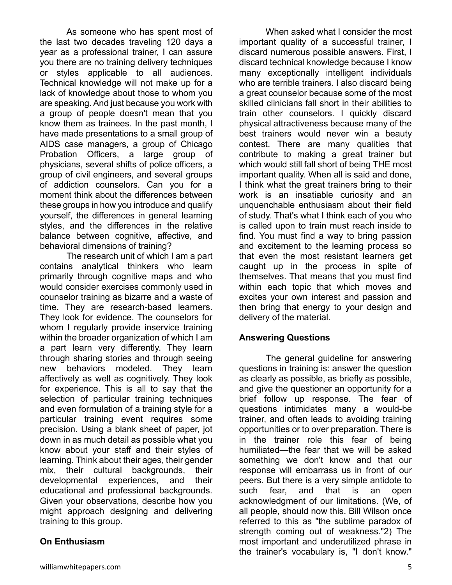As someone who has spent most of the last two decades traveling 120 days a year as a professional trainer, I can assure you there are no training delivery techniques or styles applicable to all audiences. Technical knowledge will not make up for a lack of knowledge about those to whom you are speaking. And just because you work with a group of people doesn't mean that you know them as trainees. In the past month, I have made presentations to a small group of AIDS case managers, a group of Chicago Probation Officers, a large group of physicians, several shifts of police officers, a group of civil engineers, and several groups of addiction counselors. Can you for a moment think about the differences between these groups in how you introduce and qualify yourself, the differences in general learning styles, and the differences in the relative balance between cognitive, affective, and behavioral dimensions of training?

The research unit of which I am a part contains analytical thinkers who learn primarily through cognitive maps and who would consider exercises commonly used in counselor training as bizarre and a waste of time. They are research-based learners. They look for evidence. The counselors for whom I regularly provide inservice training within the broader organization of which I am a part learn very differently. They learn through sharing stories and through seeing new behaviors modeled. They learn affectively as well as cognitively. They look for experience. This is all to say that the selection of particular training techniques and even formulation of a training style for a particular training event requires some precision. Using a blank sheet of paper, jot down in as much detail as possible what you know about your staff and their styles of learning. Think about their ages, their gender mix, their cultural backgrounds, their developmental experiences, and their educational and professional backgrounds. Given your observations, describe how you might approach designing and delivering training to this group.

# **On Enthusiasm**

When asked what I consider the most important quality of a successful trainer, I discard numerous possible answers. First, I discard technical knowledge because I know many exceptionally intelligent individuals who are terrible trainers. I also discard being a great counselor because some of the most skilled clinicians fall short in their abilities to train other counselors. I quickly discard physical attractiveness because many of the best trainers would never win a beauty contest. There are many qualities that contribute to making a great trainer but which would still fall short of being THE most important quality. When all is said and done, I think what the great trainers bring to their work is an insatiable curiosity and an unquenchable enthusiasm about their field of study. That's what I think each of you who is called upon to train must reach inside to find. You must find a way to bring passion and excitement to the learning process so that even the most resistant learners get caught up in the process in spite of themselves. That means that you must find within each topic that which moves and excites your own interest and passion and then bring that energy to your design and delivery of the material.

#### **Answering Questions**

The general guideline for answering questions in training is: answer the question as clearly as possible, as briefly as possible, and give the questioner an opportunity for a brief follow up response. The fear of questions intimidates many a would-be trainer, and often leads to avoiding training opportunities or to over preparation. There is in the trainer role this fear of being humiliated—the fear that we will be asked something we don't know and that our response will embarrass us in front of our peers. But there is a very simple antidote to such fear, and that is an open acknowledgment of our limitations. (We, of all people, should now this. Bill Wilson once referred to this as "the sublime paradox of strength coming out of weakness."2) The most important and underutilized phrase in the trainer's vocabulary is, "I don't know."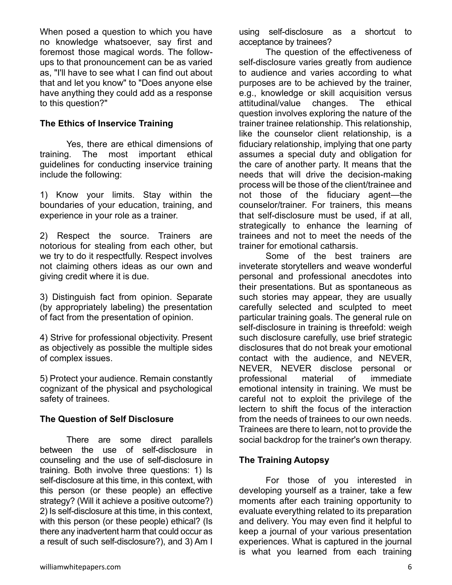When posed a question to which you have no knowledge whatsoever, say first and foremost those magical words. The followups to that pronouncement can be as varied as, "I'll have to see what I can find out about that and let you know" to "Does anyone else have anything they could add as a response to this question?"

#### **The Ethics of Inservice Training**

Yes, there are ethical dimensions of training. The most important ethical guidelines for conducting inservice training include the following:

1) Know your limits. Stay within the boundaries of your education, training, and experience in your role as a trainer.

2) Respect the source. Trainers are notorious for stealing from each other, but we try to do it respectfully. Respect involves not claiming others ideas as our own and giving credit where it is due.

3) Distinguish fact from opinion. Separate (by appropriately labeling) the presentation of fact from the presentation of opinion.

4) Strive for professional objectivity. Present as objectively as possible the multiple sides of complex issues.

5) Protect your audience. Remain constantly cognizant of the physical and psychological safety of trainees.

#### **The Question of Self Disclosure**

There are some direct parallels between the use of self-disclosure in counseling and the use of self-disclosure in training. Both involve three questions: 1) Is self-disclosure at this time, in this context, with this person (or these people) an effective strategy? (Will it achieve a positive outcome?) 2) Is self-disclosure at this time, in this context, with this person (or these people) ethical? (Is there any inadvertent harm that could occur as a result of such self-disclosure?), and 3) Am I

using self-disclosure as a shortcut to acceptance by trainees?

The question of the effectiveness of self-disclosure varies greatly from audience to audience and varies according to what purposes are to be achieved by the trainer, e.g., knowledge or skill acquisition versus attitudinal/value changes. The ethical question involves exploring the nature of the trainer trainee relationship. This relationship, like the counselor client relationship, is a fiduciary relationship, implying that one party assumes a special duty and obligation for the care of another party. It means that the needs that will drive the decision-making process will be those of the client/trainee and not those of the fiduciary agent—the counselor/trainer. For trainers, this means that self-disclosure must be used, if at all, strategically to enhance the learning of trainees and not to meet the needs of the trainer for emotional catharsis.

Some of the best trainers are inveterate storytellers and weave wonderful personal and professional anecdotes into their presentations. But as spontaneous as such stories may appear, they are usually carefully selected and sculpted to meet particular training goals. The general rule on self-disclosure in training is threefold: weigh such disclosure carefully, use brief strategic disclosures that do not break your emotional contact with the audience, and NEVER, NEVER, NEVER disclose personal or professional material of immediate emotional intensity in training. We must be careful not to exploit the privilege of the lectern to shift the focus of the interaction from the needs of trainees to our own needs. Trainees are there to learn, not to provide the social backdrop for the trainer's own therapy.

# **The Training Autopsy**

For those of you interested in developing yourself as a trainer, take a few moments after each training opportunity to evaluate everything related to its preparation and delivery. You may even find it helpful to keep a journal of your various presentation experiences. What is captured in the journal is what you learned from each training